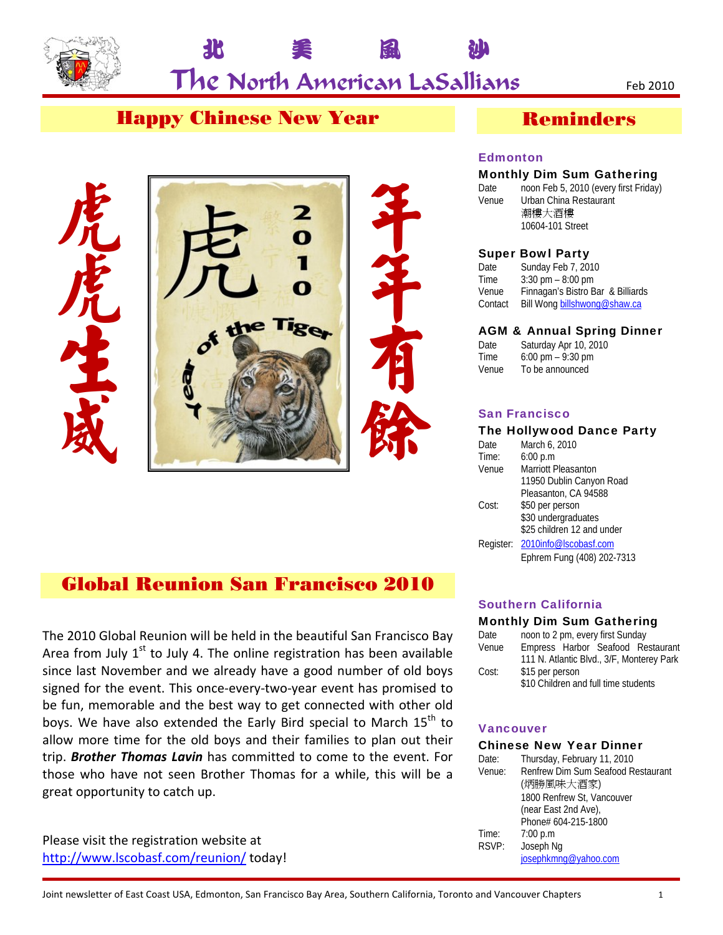

**北 美 風 沙** 

## Happy Chinese New Year



## Global Reunion San Francisco 2010

The 2010 Global Reunion will be held in the beautiful San Francisco Bay Area from July  $1<sup>st</sup>$  to July 4. The online registration has been available since last November and we already have a good number of old boys signed for the event. This once-every-two-year event has promised to be fun, memorable and the best way to get connected with other old boys. We have also extended the Early Bird special to March  $15<sup>th</sup>$  to allow more time for the old boys and their families to plan out their trip. *Brother Thomas Lavin* has committed to come to the event. For those who have not seen Brother Thomas for a while, this will be a great opportunity to catch up.

Please visit the registration website at http://www.lscobasf.com/reunion/ today!

## Reminders

#### **Edmonton**

#### Monthly Dim Sum Gathering

Date noon Feb 5, 2010 (every first Friday) Venue Urban China Restaurant 潮樓大酒樓 10604-101 Street

#### Super Bowl Party

Date Sunday Feb 7, 2010 Time 3:30 pm – 8:00 pm Venue Finnagan's Bistro Bar & Billiards Contact Bill Wong billshwong@shaw.ca

#### AGM & Annual Spring Dinner

Date Saturday Apr 10, 2010 Time  $6:00 \text{ pm} - 9:30 \text{ pm}$ <br>Venue To be announced To be announced

#### San Francisco

#### The Hollywood Dance Party

| Date      | March 6, 2010              |
|-----------|----------------------------|
| Time:     | 6:00 p.m                   |
| Venue     | Marriott Pleasanton        |
|           | 11950 Dublin Canyon Road   |
|           | Pleasanton, CA 94588       |
| Cost:     | \$50 per person            |
|           | \$30 undergraduates        |
|           | \$25 children 12 and under |
| Register: | 2010info@lscobasf.com      |
|           | Ephrem Fung (408) 202-7313 |

#### Southern California

#### Monthly Dim Sum Gathering

| Date  | noon to 2 pm, every first Sunday          |  |  |  |  |
|-------|-------------------------------------------|--|--|--|--|
| Venue | Empress Harbor Seafood Restaurant         |  |  |  |  |
|       | 111 N. Atlantic Blvd., 3/F, Monterey Park |  |  |  |  |
| Cost: | \$15 per person                           |  |  |  |  |
|       | \$10 Children and full time students      |  |  |  |  |

#### **Vancouver**

#### Chinese New Year Dinner

| Date:  | Thursday, February 11, 2010        |  |  |
|--------|------------------------------------|--|--|
| Venue: | Renfrew Dim Sum Seafood Restaurant |  |  |
|        | (炳勝風味大酒家)                          |  |  |
|        | 1800 Renfrew St, Vancouver         |  |  |
|        | (near East 2nd Ave),               |  |  |
|        | Phone# 604-215-1800                |  |  |
| Time:  | 7:00 p.m                           |  |  |
| RSVP:  | Joseph Ng                          |  |  |
|        | josephkmng@yahoo.com               |  |  |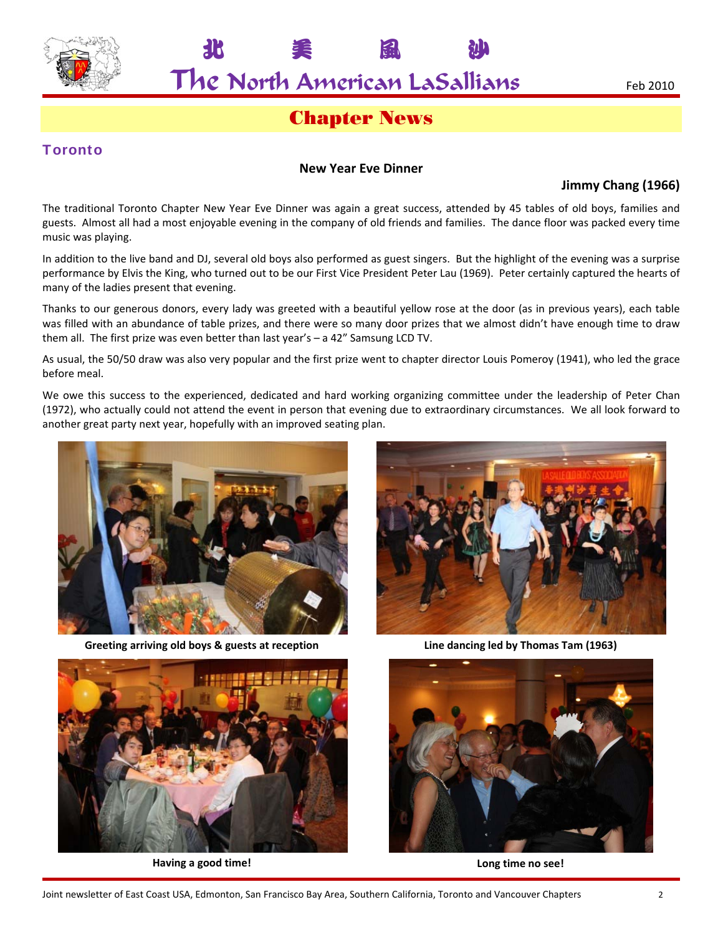

**北 美 風 沙** 

## Chapter News

#### **Toronto**

#### **New Year Eve Dinner**

#### **Jimmy Chang (1966)**

The traditional Toronto Chapter New Year Eve Dinner was again a great success, attended by 45 tables of old boys, families and guests. Almost all had a most enjoyable evening in the company of old friends and families. The dance floor was packed every time music was playing.

In addition to the live band and DJ, several old boys also performed as guest singers. But the highlight of the evening was a surprise performance by Elvis the King, who turned out to be our First Vice President Peter Lau (1969). Peter certainly captured the hearts of many of the ladies present that evening.

Thanks to our generous donors, every lady was greeted with a beautiful yellow rose at the door (as in previous years), each table was filled with an abundance of table prizes, and there were so many door prizes that we almost didn't have enough time to draw them all. The first prize was even better than last year's – a 42" Samsung LCD TV.

As usual, the 50/50 draw was also very popular and the first prize went to chapter director Louis Pomeroy (1941), who led the grace before meal.

We owe this success to the experienced, dedicated and hard working organizing committee under the leadership of Peter Chan (1972), who actually could not attend the event in person that evening due to extraordinary circumstances. We all look forward to another great party next year, hopefully with an improved seating plan.



**Greeting arriving old boys & guests at reception Line dancing led by Thomas Tam (1963)**





**Having a good time! Long time no see!**

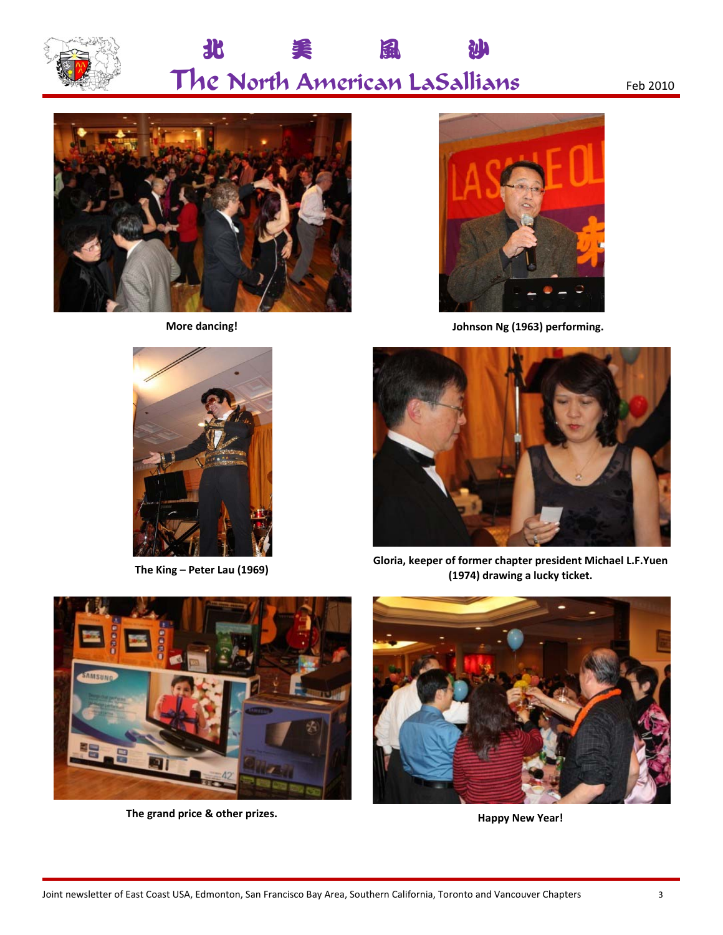







**More dancing! Johnson Ng (1963) performing.**



**The King – Peter Lau (1969) Gloria, keeper of former chapter president Michael L.F.Yuen (1974) drawing a lucky ticket.**



**The grand price & other prizes. Happy New Year!**

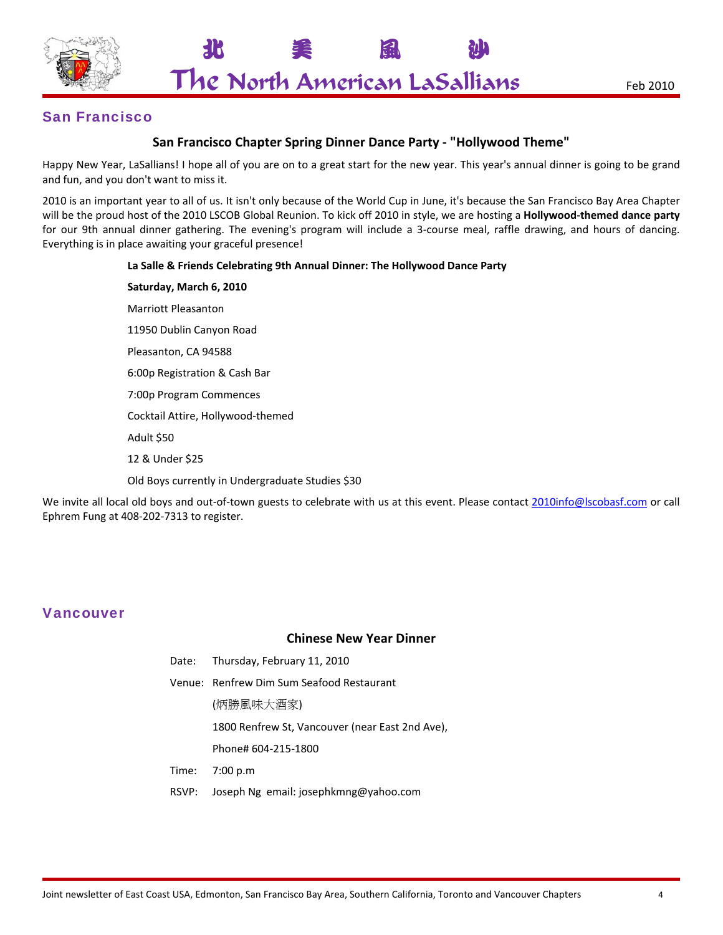

**北 美 風 沙** 

#### San Francisco

#### **San Francisco Chapter Spring Dinner Dance Party ‐ "Hollywood Theme"**

Happy New Year, LaSallians! I hope all of you are on to a great start for the new year. This year's annual dinner is going to be grand and fun, and you don't want to miss it.

2010 is an important year to all of us. It isn't only because of the World Cup in June, it's because the San Francisco Bay Area Chapter will be the proud host of the 2010 LSCOB Global Reunion. To kick off 2010 in style, we are hosting a **Hollywood‐themed dance party** for our 9th annual dinner gathering. The evening's program will include a 3-course meal, raffle drawing, and hours of dancing. Everything is in place awaiting your graceful presence!

#### **La Salle & Friends Celebrating 9th Annual Dinner: The Hollywood Dance Party**

**Saturday, March 6, 2010** Marriott Pleasanton 11950 Dublin Canyon Road Pleasanton, CA 94588 6:00p Registration & Cash Bar 7:00p Program Commences Cocktail Attire, Hollywood‐themed Adult \$50 12 & Under \$25

Old Boys currently in Undergraduate Studies \$30

We invite all local old boys and out-of-town guests to celebrate with us at this event. Please contact 2010info@lscobasf.com or call Ephrem Fung at 408‐202‐7313 to register.

#### Vancouver

#### **Chinese New Year Dinner**

- Date: Thursday, February 11, 2010
- Venue: Renfrew Dim Sum Seafood Restaurant
	- (炳勝風味大酒家)
	- 1800 Renfrew St, Vancouver (near East 2nd Ave),
	- Phone# 604‐215‐1800
- Time: 7:00 p.m
- RSVP: Joseph Ng email: josephkmng@yahoo.com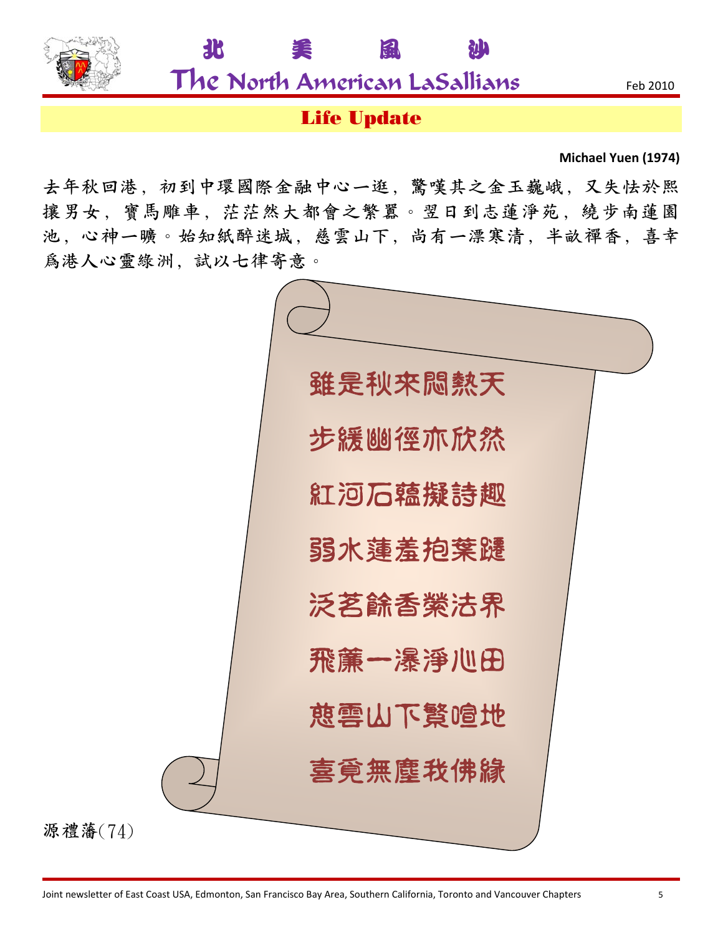

源禮藩(74)

The North American LaSallians Feb <sup>2010</sup>

**北 美 風 沙** 

## Life Update

**Michael Yuen (1974)**

去年秋回港,初到中環國際金融中心一逛,驚嘆其之金玉巍峨,又失怯於熙 攘男女, 寶馬雕車, 茫茫然大都會之繁囂。翌日到志蓮淨苑, 繞步南蓮園 池,心神一曠。始知紙醉迷城,慈雲山下,尚有一漂寒清,半畝禪香,喜幸 爲港人心靈綠洲、試以七律寄意。

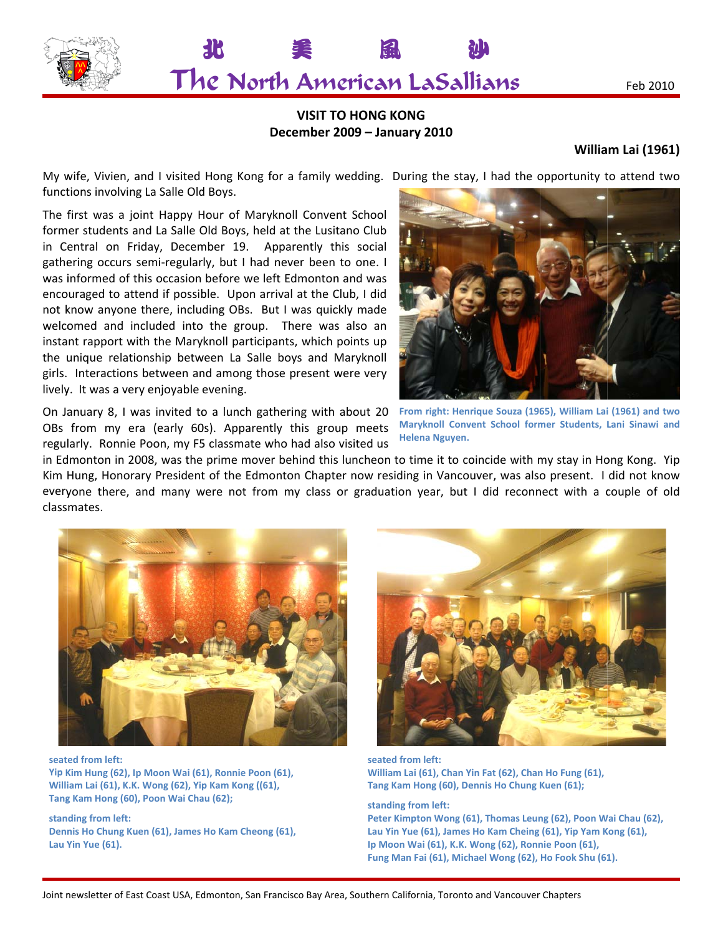

美

#### **VISIT TO O HONG KO ONG December 2 2009 – Janua ary 2010**

**鼠** 

**Ւ**

## **Willia m Lai (1961 )**

Feb 2010

My wife, Vivien, and I visited Hong Kong for a family wedding. During the stay, I had the opportunity to attend two functions involving La Salle Old Boys.

The first was a joint Happy Hour of Maryknoll Convent School former students and La Salle Old Boys, held at the Lusitano Club in Central on Friday, December 19. Apparently this social gathering occurs semi-regularly, but I had never been to one. I was informed of this occasion before we left Edmonton and was encouraged to attend if possible. Upon arrival at the Club, I did not know anyone there, including OBs. But I was quickly made welcomed and included into the group. There was also an instant rapport with the Maryknoll participants, which points up the unique relationship between La Salle boys and Maryknoll girls. Interactions between and among those present were very lively. It was a very enjoyable evening.

**Δ**

On January 8, I was invited to a lunch gathering with about 20 OBs from my era (early 60s). Apparently this group meets regularly. Ronnie Poon, my F5 classmate who had also visited us



**Fr rom right: Henr rique Souza (196 65), William Lai i (1961) and two Maryknoll Convent School former Students, Lani Sinawi and H Helena Nguyen.**

in Edmonton in 2008, was the prime mover behind this luncheon to time it to coincide with my stay in Hong Kong. Yip Kim Hung, Honorary President of the Edmonton Chapter now residing in Vancouver, was also present. I did not know everyone there, and many were not from my class or graduation year, but I did reconnect with a couple of old class mates.



**seat ed from left: Yip K Kim Hung (62), I p Moon Wai (61 1), Ronnie Poon n (61), Willi iam Lai (61), K.K K. Wong (62), Yip p Kam Kong ((61 1), Tang Kam Hong (60), Poon Wai Chau (62);** 

**stan ding from left: Dennis** Ho Chung Kuen (61), James Ho Kam Cheong (61), **Lau Y Yin Yue (61).**



**seated fr rom left: William L Lai (61), Chan Yi in Fat (62), Chan n Ho Fung (61), Tang Kam m Hong (60), De ennis Ho Chung K Kuen (61);** 

**standing g from left: Peter Kim mpton Wong (61 1), Thomas Leun ng (62), Poon W Wai Chau (62), Lau Yin Y Yue (61), James Ho Kam Cheing (61), Yip Yam K Kong (61), Ip Moon Wai (61), K.K. W Wong (62), Ronn nie Poon (61), Fung Ma an Fai (61), Mich hael Wong (62), Ho Fook Shu (61 1).**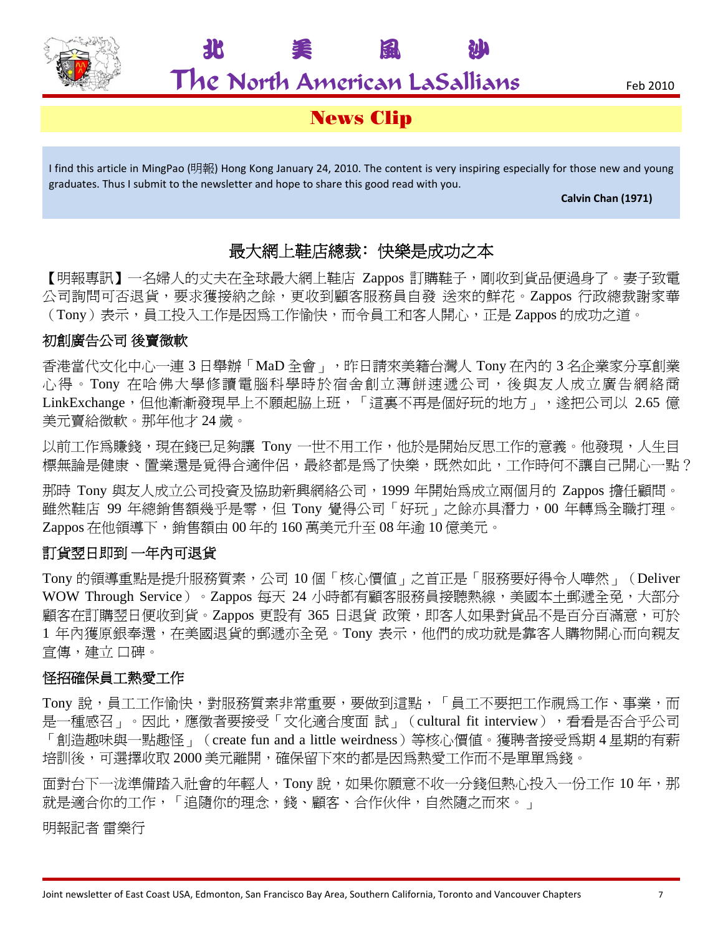

**北 美 風 沙** 

## News Clip

I find this article in MingPao (明報) Hong Kong January 24, 2010. The content is very inspiring especially for those new and young graduates. Thus I submit to the newsletter and hope to share this good read with you.

#### **Calvin Chan (1971)**

### 最大網上鞋店總裁:快樂是成功之本

【明報專訊】一名婦人的丈夫在全球最大網上鞋店 Zappos 訂購鞋子,剛收到貨品便過身了。妻子致電 公司詢問可否退貨,要求獲接納之餘,更收到顧客服務員自發 送來的鮮花。Zappos 行政總裁謝家華 (Tony)表示,員工投入工作是因為工作愉快,而令員工和客人開心,正是 Zappos 的成功之道。

### 初創廣告公司 後賣微軟

香港當代文化中心一連 3 日舉辦「MaD 全會」,昨日請來美籍台灣人 Tony 在內的 3 名企業家分享創業 心得。Tony 在哈佛大學修讀電腦科學時於宿舍創立薄餅速遞公司,後與友人成立廣告網絡商 LinkExchange,但他漸漸發現早上不願起脇上班,「這裏不再是個好玩的地方」,遂把公司以 2.65 億 美元賣給微軟。那年他才 24 歲。

以前工作為賺錢,現在錢已足夠讓 Tony 一世不用工作,他於是開始反思工作的意義。他發現,人生目 標無論是健康、置業還是覓得合適伴侶,最終都是為了快樂,既然如此,工作時何不讓自己開心一點?

那時 Tony 與友人成立公司投資及協助新興網絡公司,1999 年開始為成立兩個月的 Zappos 擔任顧問。 雖然鞋店 99 年總銷售額幾乎是零,但 Tony 覺得公司 「好玩」之餘亦具潛力,00 年轉為全職打理。 Zappos 在他領導下,銷售額由 00 年的 160 萬美元升至 08 年逾 10 億美元。

#### 訂貨翌日即到 一年內可退貨

Tony 的領導重點是提升服務質素,公司 10 個「核心價值」之首正是「服務要好得令人嘩然」(Deliver WOW Through Service) 。Zappos 每天 24 小時都有顧客服務員接聽熱線,美國本土郵遞全免,大部分 顧客在訂購翌日便收到貨。Zappos 更設有 365 日退貨 政策,即客人如果對貨品不是百分百滿意,可於 1 年內獲原銀奉還,在美國退貨的郵遞亦全免。Tony 表示,他們的成功就是靠客人購物開心而向親友 宣傳,建立 口碑。

#### 怪招確保員工熱愛工作

Tony 說,員工工作愉快,對服務質素非常重要,要做到這點,「員工不要把工作視為工作、事業,而 是一種感召」。因此,應徵者要接受「文化適合度面 試」 (cultural fit interview),看看是否合乎公司 「創造趣味與一點趣怪」(create fun and a little weirdness)等核心價值。獲聘者接受為期 4 星期的有薪 培訓後,可選擇收取 2000 美元離開,確保留下來的都是因為熱愛工作而不是單單為錢。

面對台下一泷準備踏入社會的年輕人,Tony 說,如果你願意不收一分錢但熱心投入一份工作 10 年,那 就是適合你的工作,「追隨你的理念,錢、顧客、合作伙伴,自然隨之而來。」

明報記者 雷樂行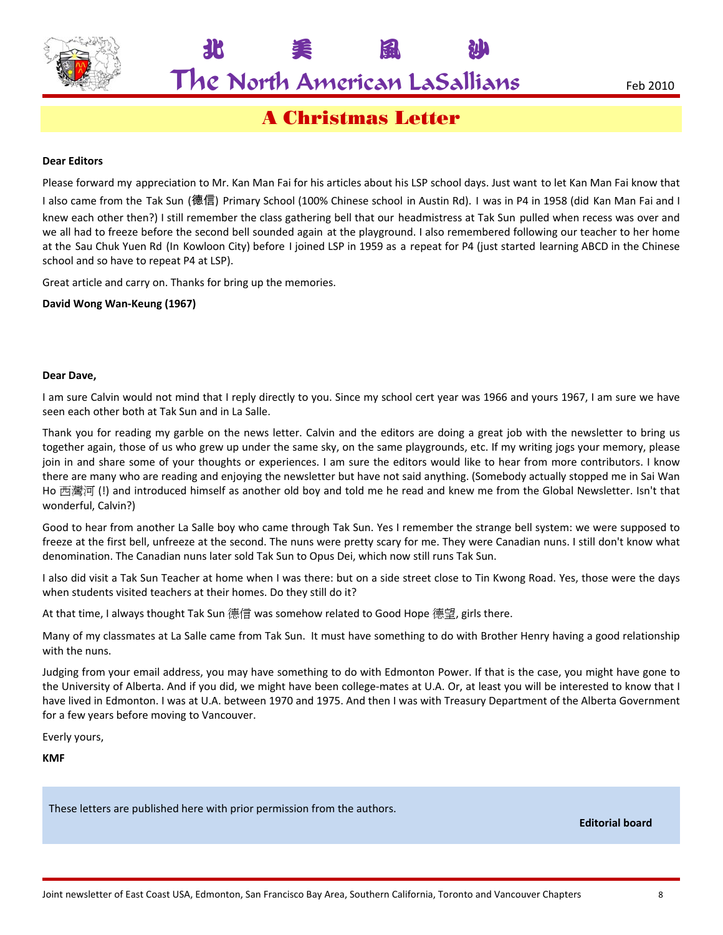

**北 美 風 沙** 

A Christmas Letter

#### **Dear Editors**

Please forward my appreciation to Mr. Kan Man Fai for his articles about his LSP school days. Just want to let Kan Man Fai know that I also came from the Tak Sun (德信) Primary School (100% Chinese school in Austin Rd). I was in P4 in 1958 (did Kan Man Fai and I knew each other then?) I still remember the class gathering bell that our headmistress at Tak Sun pulled when recess was over and we all had to freeze before the second bell sounded again at the playground. I also remembered following our teacher to her home at the Sau Chuk Yuen Rd (In Kowloon City) before I joined LSP in 1959 as a repeat for P4 (just started learning ABCD in the Chinese school and so have to repeat P4 at LSP).

Great article and carry on. Thanks for bring up the memories.

**David Wong Wan‐Keung (1967)**

#### **Dear Dave,**

I am sure Calvin would not mind that I reply directly to you. Since my school cert year was 1966 and yours 1967, I am sure we have seen each other both at Tak Sun and in La Salle.

Thank you for reading my garble on the news letter. Calvin and the editors are doing a great job with the newsletter to bring us together again, those of us who grew up under the same sky, on the same playgrounds, etc. If my writing jogs your memory, please join in and share some of your thoughts or experiences. I am sure the editors would like to hear from more contributors. I know there are many who are reading and enjoying the newsletter but have not said anything. (Somebody actually stopped me in Sai Wan Ho 西灣河 (!) and introduced himself as another old boy and told me he read and knew me from the Global Newsletter. Isn't that wonderful, Calvin?)

Good to hear from another La Salle boy who came through Tak Sun. Yes I remember the strange bell system: we were supposed to freeze at the first bell, unfreeze at the second. The nuns were pretty scary for me. They were Canadian nuns. I still don't know what denomination. The Canadian nuns later sold Tak Sun to Opus Dei, which now still runs Tak Sun.

I also did visit a Tak Sun Teacher at home when I was there: but on a side street close to Tin Kwong Road. Yes, those were the days when students visited teachers at their homes. Do they still do it?

At that time, I always thought Tak Sun 德信 was somehow related to Good Hope 德望, girls there.

Many of my classmates at La Salle came from Tak Sun. It must have something to do with Brother Henry having a good relationship with the nuns.

Judging from your email address, you may have something to do with Edmonton Power. If that is the case, you might have gone to the University of Alberta. And if you did, we might have been college-mates at U.A. Or, at least you will be interested to know that I have lived in Edmonton. I was at U.A. between 1970 and 1975. And then I was with Treasury Department of the Alberta Government for a few years before moving to Vancouver.

Everly yours,

**KMF**

These letters are published here with prior permission from the authors.

**Editorial board**